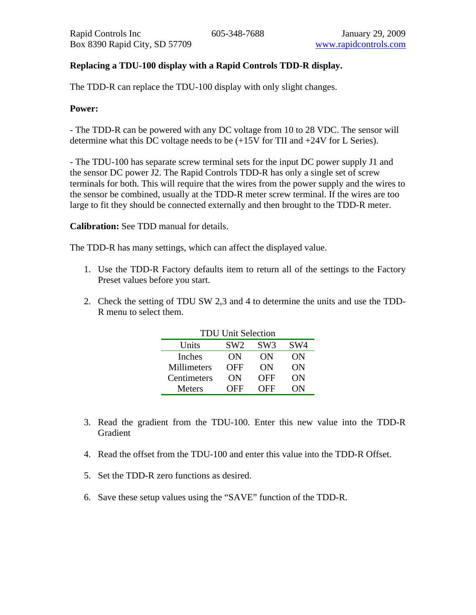## **Replacing a TDU-100 display with a Rapid Controls TDD-R display.**

The TDD-R can replace the TDU-100 display with only slight changes.

## **Power:**

- The TDD-R can be powered with any DC voltage from 10 to 28 VDC. The sensor will determine what this DC voltage needs to be (+15V for TII and +24V for L Series).

- The TDU-100 has separate screw terminal sets for the input DC power supply J1 and the sensor DC power J2. The Rapid Controls TDD-R has only a single set of screw terminals for both. This will require that the wires from the power supply and the wires to the sensor be combined, usually at the TDD-R meter screw terminal. If the wires are too large to fit they should be connected externally and then brought to the TDD-R meter.

## **Calibration:** See TDD manual for details.

The TDD-R has many settings, which can affect the displayed value.

- 1. Use the TDD-R Factory defaults item to return all of the settings to the Factory Preset values before you start.
- 2. Check the setting of TDU SW 2,3 and 4 to determine the units and use the TDD-R menu to select them.

| <b>TDU Unit Selection</b> |                 |                 |                 |
|---------------------------|-----------------|-----------------|-----------------|
| Units                     | SW <sub>2</sub> | SW <sub>3</sub> | SW <sub>4</sub> |
| Inches                    | ON              | ON              | OΝ              |
| Millimeters               | OFF             | OΝ              | ON              |
| Centimeters               | ON              | OFF             | ON              |
| Meters                    | <b>OFF</b>      | <b>DFF</b>      | OΝ              |

- 3. Read the gradient from the TDU-100. Enter this new value into the TDD-R Gradient
- 4. Read the offset from the TDU-100 and enter this value into the TDD-R Offset.
- 5. Set the TDD-R zero functions as desired.
- 6. Save these setup values using the "SAVE" function of the TDD-R.